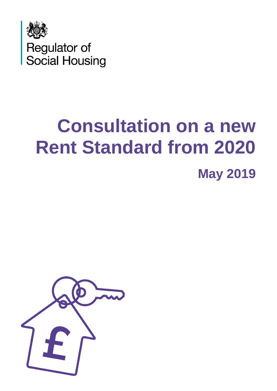

# **Consultation on a new Rent Standard from 2020 May 2019**

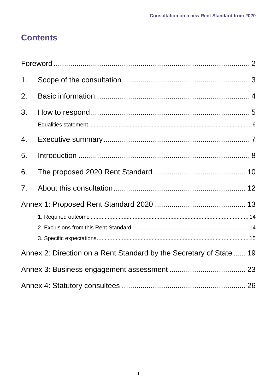# **Contents**

| 1. |                                                                     |  |
|----|---------------------------------------------------------------------|--|
| 2. |                                                                     |  |
| 3. |                                                                     |  |
| 4. |                                                                     |  |
| 5. |                                                                     |  |
| 6. |                                                                     |  |
| 7. |                                                                     |  |
|    |                                                                     |  |
|    |                                                                     |  |
|    | Annex 2: Direction on a Rent Standard by the Secretary of State  19 |  |
|    |                                                                     |  |
|    |                                                                     |  |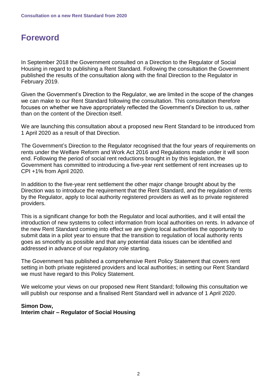# <span id="page-2-0"></span>**Foreword**

In September 2018 the Government consulted on a Direction to the Regulator of Social Housing in regard to publishing a Rent Standard. Following the consultation the Government published the results of the consultation along with the final Direction to the Regulator in February 2019.

Given the Government's Direction to the Regulator, we are limited in the scope of the changes we can make to our Rent Standard following the consultation. This consultation therefore focuses on whether we have appropriately reflected the Government's Direction to us, rather than on the content of the Direction itself.

We are launching this consultation about a proposed new Rent Standard to be introduced from 1 April 2020 as a result of that Direction.

The Government's Direction to the Regulator recognised that the four years of requirements on rents under the Welfare Reform and Work Act 2016 and Regulations made under it will soon end. Following the period of social rent reductions brought in by this legislation, the Government has committed to introducing a five-year rent settlement of rent increases up to CPI +1% from April 2020.

In addition to the five-year rent settlement the other major change brought about by the Direction was to introduce the requirement that the Rent Standard, and the regulation of rents by the Regulator, apply to local authority registered providers as well as to private registered providers.

This is a significant change for both the Regulator and local authorities, and it will entail the introduction of new systems to collect information from local authorities on rents. In advance of the new Rent Standard coming into effect we are giving local authorities the opportunity to submit data in a pilot year to ensure that the transition to regulation of local authority rents goes as smoothly as possible and that any potential data issues can be identified and addressed in advance of our regulatory role starting.

The Government has published a comprehensive Rent Policy Statement that covers rent setting in both private registered providers and local authorities; in setting our Rent Standard we must have regard to this Policy Statement.

We welcome your views on our proposed new Rent Standard; following this consultation we will publish our response and a finalised Rent Standard well in advance of 1 April 2020.

## **Simon Dow, Interim chair – Regulator of Social Housing**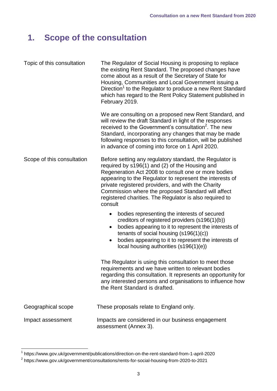# <span id="page-3-0"></span>**1. Scope of the consultation**

| Topic of this consultation | The Regulator of Social Housing is proposing to replace<br>the existing Rent Standard. The proposed changes have<br>come about as a result of the Secretary of State for<br>Housing, Communities and Local Government issuing a<br>Direction <sup>1</sup> to the Regulator to produce a new Rent Standard<br>which has regard to the Rent Policy Statement published in<br>February 2019.                       |
|----------------------------|-----------------------------------------------------------------------------------------------------------------------------------------------------------------------------------------------------------------------------------------------------------------------------------------------------------------------------------------------------------------------------------------------------------------|
|                            | We are consulting on a proposed new Rent Standard, and<br>will review the draft Standard in light of the responses<br>received to the Government's consultation <sup>2</sup> . The new<br>Standard, incorporating any changes that may be made<br>following responses to this consultation, will be published<br>in advance of coming into force on 1 April 2020.                                               |
| Scope of this consultation | Before setting any regulatory standard, the Regulator is<br>required by s196(1) and (2) of the Housing and<br>Regeneration Act 2008 to consult one or more bodies<br>appearing to the Regulator to represent the interests of<br>private registered providers, and with the Charity<br>Commission where the proposed Standard will affect<br>registered charities. The Regulator is also required to<br>consult |
|                            | bodies representing the interests of secured<br>$\bullet$<br>creditors of registered providers (s196(1)(b))<br>bodies appearing to it to represent the interests of<br>tenants of social housing $(s196(1)(c))$<br>bodies appearing to it to represent the interests of<br>local housing authorities (s196(1)(e))                                                                                               |
|                            | The Regulator is using this consultation to meet those<br>requirements and we have written to relevant bodies<br>regarding this consultation. It represents an opportunity for<br>any interested persons and organisations to influence how<br>the Rent Standard is drafted.                                                                                                                                    |
| Geographical scope         | These proposals relate to England only.                                                                                                                                                                                                                                                                                                                                                                         |
| Impact assessment          | Impacts are considered in our business engagement<br>assessment (Annex 3).                                                                                                                                                                                                                                                                                                                                      |

 1 <https://www.gov.uk/government/publications/direction-on-the-rent-standard-from-1-april-2020>

<sup>&</sup>lt;sup>2</sup> <https://www.gov.uk/government/consultations/rents-for-social-housing-from-2020-to-2021>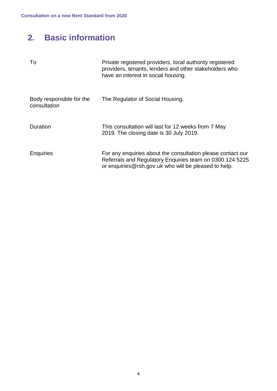# <span id="page-4-0"></span>**2. Basic information**

| To                                       | Private registered providers, local authority registered<br>providers, tenants, lenders and other stakeholders who<br>have an interest in social housing.                       |
|------------------------------------------|---------------------------------------------------------------------------------------------------------------------------------------------------------------------------------|
| Body responsible for the<br>consultation | The Regulator of Social Housing.                                                                                                                                                |
| Duration                                 | This consultation will last for 12 weeks from 7 May<br>2019. The closing date is 30 July 2019.                                                                                  |
| <b>Enquiries</b>                         | For any enquiries about the consultation please contact our<br>Referrals and Regulatory Enquiries team on 0300 124 5225<br>or enquiries@rsh.gov.uk who will be pleased to help. |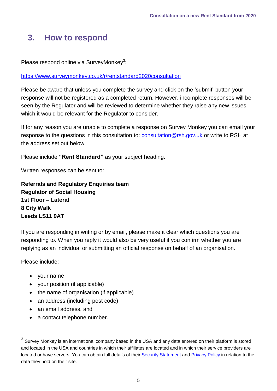# <span id="page-5-0"></span>**3. How to respond**

Please respond online via SurveyMonkey<sup>3</sup>:

## <https://www.surveymonkey.co.uk/r/rentstandard2020consultation>

Please be aware that unless you complete the survey and click on the 'submit' button your response will not be registered as a completed return. However, incomplete responses will be seen by the Regulator and will be reviewed to determine whether they raise any new issues which it would be relevant for the Regulator to consider.

If for any reason you are unable to complete a response on Survey Monkey you can email your response to the questions in this consultation to: [consultation@rsh.gov.uk](mailto:consultation@rsh.gov.uk) or write to RSH at the address set out below.

Please include **"Rent Standard"** as your subject heading.

Written responses can be sent to:

**Referrals and Regulatory Enquiries team Regulator of Social Housing 1st Floor – Lateral 8 City Walk Leeds LS11 9AT**

If you are responding in writing or by email, please make it clear which questions you are responding to. When you reply it would also be very useful if you confirm whether you are replying as an individual or submitting an official response on behalf of an organisation.

Please include:

- your name
- your position (if applicable)
- the name of organisation (if applicable)
- an address (including post code)
- an email address, and
- a contact telephone number.

 3 Survey Monkey is an international company based in the USA and any data entered on their platform is stored and located in the USA and countries in which their affiliates are located and in which their service providers are located or have servers. You can obtain full details of their Security [Statement](https://www.surveymonkey.co.uk/mp/legal/security/) and [Privacy](https://www.surveymonkey.co.uk/mp/legal/privacy-policy/?ut_source=gdpr_consent_banner) Policy in relation to the data they hold on their site.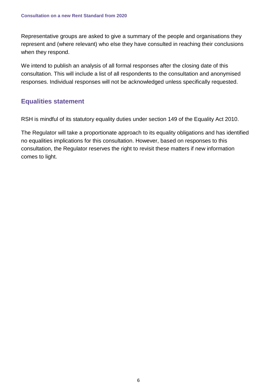Representative groups are asked to give a summary of the people and organisations they represent and (where relevant) who else they have consulted in reaching their conclusions when they respond.

We intend to publish an analysis of all formal responses after the closing date of this consultation. This will include a list of all respondents to the consultation and anonymised responses. Individual responses will not be acknowledged unless specifically requested.

## <span id="page-6-0"></span>**Equalities statement**

RSH is mindful of its statutory equality duties under section 149 of the Equality Act 2010.

The Regulator will take a proportionate approach to its equality obligations and has identified no equalities implications for this consultation. However, based on responses to this consultation, the Regulator reserves the right to revisit these matters if new information comes to light.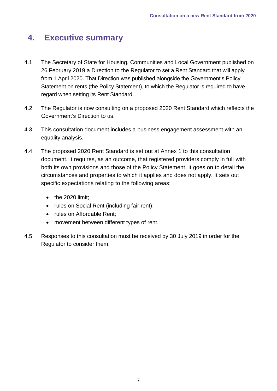# <span id="page-7-0"></span>**4. Executive summary**

- 4.1 The Secretary of State for Housing, Communities and Local Government published on 26 February 2019 a [Direction](https://www.gov.uk/government/consultations/rents-for-social-housing-from-2020-to-2021?utm_source=b3320d3d-d8ce-4088-84e6-dd2501f3bf3d&utm_medium=email&utm_campaign=govuk-notifications&utm_content=immediate) to the Regulator to set a Rent Standard that will apply from 1 April 2020. That Direction was published alongside the Government's [Policy](https://www.gov.uk/government/consultations/rents-for-social-housing-from-2020-to-2021?utm_source=b3320d3d-d8ce-4088-84e6-dd2501f3bf3d&utm_medium=email&utm_campaign=govuk-notifications&utm_content=immediate)  [Statement on rents](https://www.gov.uk/government/consultations/rents-for-social-housing-from-2020-to-2021?utm_source=b3320d3d-d8ce-4088-84e6-dd2501f3bf3d&utm_medium=email&utm_campaign=govuk-notifications&utm_content=immediate) (the Policy Statement), to which the Regulator is required to have regard when setting its Rent Standard.
- 4.2 The Regulator is now consulting on a proposed 2020 Rent Standard which reflects the Government's Direction to us.
- 4.3 This consultation document includes a business engagement assessment with an equality analysis.
- 4.4 The proposed 2020 Rent Standard is set out at Annex 1 to this consultation document. It requires, as an outcome, that registered providers comply in full with both its own provisions and those of the Policy Statement. It goes on to detail the circumstances and properties to which it applies and does not apply. It sets out specific expectations relating to the following areas:
	- $\bullet$  the 2020 limit:
	- rules on Social Rent (including fair rent);
	- rules on Affordable Rent:
	- movement between different types of rent.
- 4.5 Responses to this consultation must be received by 30 July 2019 in order for the Regulator to consider them.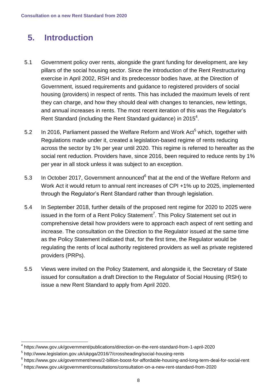# <span id="page-8-0"></span>**5. Introduction**

- 5.1 Government policy over rents, alongside the grant funding for development, are key pillars of the social housing sector. Since the introduction of the Rent Restructuring exercise in April 2002, RSH and its predecessor bodies have, at the Direction of Government, issued requirements and guidance to registered providers of social housing (providers) in respect of rents. This has included the maximum levels of rent they can charge, and how they should deal with changes to tenancies, new lettings, and annual increases in rents. The most recent iteration of this was the Regulator's Rent Standard (including the Rent Standard guidance) in 2015 $^4$ .
- 5.2 In 2016, Parliament passed the Welfare Reform and Work Act<sup>5</sup> which, together with Regulations made under it, created a legislation-based regime of rents reducing across the sector by 1% per year until 2020. This regime is referred to hereafter as the social rent reduction. Providers have, since 2016, been required to reduce rents by 1% per year in all stock unless it was subject to an exception.
- 5.3 In October 2017, Government announced<sup>6</sup> that at the end of the Welfare Reform and Work Act it would return to annual rent increases of CPI +1% up to 2025, implemented through the Regulator's Rent Standard rather than through legislation.
- 5.4 In September 2018, further details of the proposed rent regime for 2020 to 2025 were issued in the form of a Rent Policy Statement<sup>7</sup>. This Policy Statement set out in comprehensive detail how providers were to approach each aspect of rent setting and increase. The consultation on the Direction to the Regulator issued at the same time as the Policy Statement indicated that, for the first time, the Regulator would be regulating the rents of local authority registered providers as well as private registered providers (PRPs).
- 5.5 Views were invited on the Policy Statement, and alongside it, the Secretary of State issued for consultation a draft Direction to the Regulator of Social Housing (RSH) to issue a new Rent Standard to apply from April 2020.

<sup>&</sup>lt;u>.</u> 4 <https://www.gov.uk/government/publications/direction-on-the-rent-standard-from-1-april-2020>

<sup>&</sup>lt;sup>5</sup> http://www.legislation.gov.uk/ukpga/2016/7/crossheading/social-housing-rents

<sup>6</sup> <https://www.gov.uk/government/news/2-billion-boost-for-affordable-housing-and-long-term-deal-for-social-rent>

<sup>&</sup>lt;sup>7</sup> <https://www.gov.uk/government/consultations/consultation-on-a-new-rent-standard-from-2020>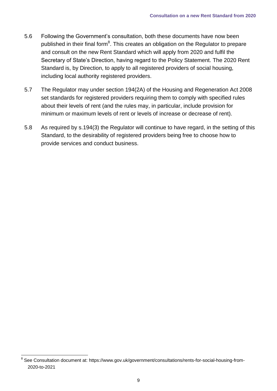- 5.6 Following the Government's consultation, both these documents have now been published in their final form<sup>8</sup>. This creates an obligation on the Regulator to prepare and consult on the new Rent Standard which will apply from 2020 and fulfil the Secretary of State's Direction, having regard to the Policy Statement. The 2020 Rent Standard is, by Direction, to apply to all registered providers of social housing, including local authority registered providers.
- 5.7 The Regulator may under section 194(2A) of the Housing and Regeneration Act 2008 set standards for registered providers requiring them to comply with specified rules about their levels of rent (and the rules may, in particular, include provision for minimum or maximum levels of rent or levels of increase or decrease of rent).
- 5.8 As required by s.194(3) the Regulator will continue to have regard, in the setting of this Standard, to the desirability of registered providers being free to choose how to provide services and conduct business.

\_\_\_\_\_\_\_\_\_\_\_\_\_\_\_\_\_\_\_\_\_\_\_\_\_\_\_\_\_\_\_\_\_\_<br><sup>8</sup> See Consultation document at: [https://www.gov.uk/government/consultations/rents-for-social-housing-from-](https://www.gov.uk/government/consultations/rents-for-social-housing-from-2020-to-2021)[2020-to-2021](https://www.gov.uk/government/consultations/rents-for-social-housing-from-2020-to-2021)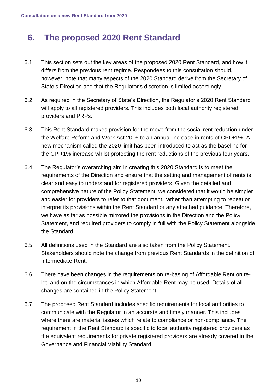# <span id="page-10-0"></span>**6. The proposed 2020 Rent Standard**

- 6.1 This section sets out the key areas of the proposed 2020 Rent Standard, and how it differs from the previous rent regime. Respondees to this consultation should, however, note that many aspects of the 2020 Standard derive from the Secretary of State's Direction and that the Regulator's discretion is limited accordingly.
- 6.2 As required in the Secretary of State's Direction, the Regulator's 2020 Rent Standard will apply to all registered providers. This includes both local authority registered providers and PRPs.
- 6.3 This Rent Standard makes provision for the move from the social rent reduction under the Welfare Reform and Work Act 2016 to an annual increase in rents of CPI +1%. A new mechanism called the 2020 limit has been introduced to act as the baseline for the CPI+1% increase whilst protecting the rent reductions of the previous four years.
- 6.4 The Regulator's overarching aim in creating this 2020 Standard is to meet the requirements of the Direction and ensure that the setting and management of rents is clear and easy to understand for registered providers. Given the detailed and comprehensive nature of the Policy Statement, we considered that it would be simpler and easier for providers to refer to that document, rather than attempting to repeat or interpret its provisions within the Rent Standard or any attached guidance. Therefore, we have as far as possible mirrored the provisions in the Direction and the Policy Statement, and required providers to comply in full with the Policy Statement alongside the Standard.
- 6.5 All definitions used in the Standard are also taken from the Policy Statement. Stakeholders should note the change from previous Rent Standards in the definition of Intermediate Rent.
- 6.6 There have been changes in the requirements on re-basing of Affordable Rent on relet, and on the circumstances in which Affordable Rent may be used. Details of all changes are contained in the Policy Statement.
- 6.7 The proposed Rent Standard includes specific requirements for local authorities to communicate with the Regulator in an accurate and timely manner. This includes where there are material issues which relate to compliance or non-compliance. The requirement in the Rent Standard is specific to local authority registered providers as the equivalent requirements for private registered providers are already covered in the Governance and Financial Viability Standard.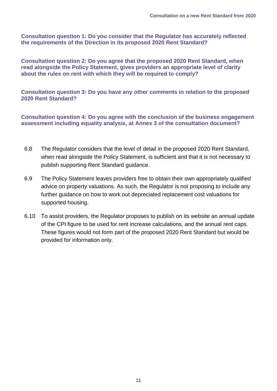**Consultation question 1: Do you consider that the Regulator has accurately reflected the requirements of the Direction in its proposed 2020 Rent Standard?**

**Consultation question 2: Do you agree that the proposed 2020 Rent Standard, when read alongside the Policy Statement, gives providers an appropriate level of clarity about the rules on rent with which they will be required to comply?**

**Consultation question 3: Do you have any other comments in relation to the proposed 2020 Rent Standard?**

**Consultation question 4: Do you agree with the conclusion of the business engagement assessment including equality analysis, at Annex 3 of the consultation document?**

- 6.8 The Regulator considers that the level of detail in the proposed 2020 Rent Standard, when read alongside the Policy Statement, is sufficient and that it is not necessary to publish supporting Rent Standard guidance.
- 6.9 The Policy Statement leaves providers free to obtain their own appropriately qualified advice on property valuations. As such, the Regulator is not proposing to include any further guidance on how to work out depreciated replacement cost valuations for supported housing.
- 6.10 To assist providers, the Regulator proposes to publish on its website an annual update of the CPI figure to be used for rent increase calculations, and the annual rent caps. These figures would not form part of the proposed 2020 Rent Standard but would be provided for information only.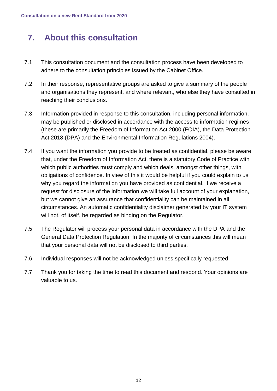# <span id="page-12-0"></span>**7. About this consultation**

- 7.1 This consultation document and the consultation process have been developed to adhere to the consultation principles issued by the Cabinet Office.
- 7.2 In their response, representative groups are asked to give a summary of the people and organisations they represent, and where relevant, who else they have consulted in reaching their conclusions.
- 7.3 Information provided in response to this consultation, including personal information, may be published or disclosed in accordance with the access to information regimes (these are primarily the Freedom of Information Act 2000 (FOIA), the Data Protection Act 2018 (DPA) and the Environmental Information Regulations 2004).
- 7.4 If you want the information you provide to be treated as confidential, please be aware that, under the Freedom of Information Act, there is a statutory Code of Practice with which public authorities must comply and which deals, amongst other things, with obligations of confidence. In view of this it would be helpful if you could explain to us why you regard the information you have provided as confidential. If we receive a request for disclosure of the information we will take full account of your explanation, but we cannot give an assurance that confidentiality can be maintained in all circumstances. An automatic confidentiality disclaimer generated by your IT system will not, of itself, be regarded as binding on the Regulator.
- 7.5 The Regulator will process your personal data in accordance with the DPA and the General Data Protection Regulation. In the majority of circumstances this will mean that your personal data will not be disclosed to third parties.
- 7.6 Individual responses will not be acknowledged unless specifically requested.
- 7.7 Thank you for taking the time to read this document and respond. Your opinions are valuable to us.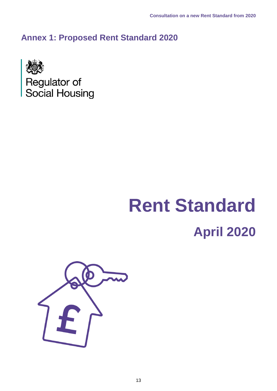<span id="page-13-0"></span>**Annex 1: Proposed Rent Standard 2020**



# **Rent Standard April 2020**

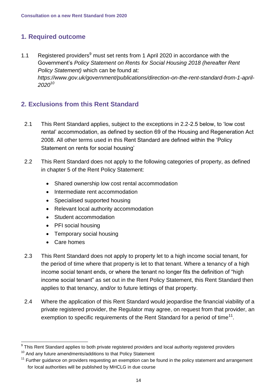## <span id="page-14-0"></span>**1. Required outcome**

1.1 Registered providers<sup>9</sup> must set rents from 1 April 2020 in accordance with the Government's *Policy Statement on Rents for Social Housing 2018 (hereafter Rent Policy Statement)* which can be found at: *https://www.gov.uk/government/publications/direction-on-the-rent-standard-from-1-april-2020<sup>10</sup>*

## <span id="page-14-1"></span>**2. Exclusions from this Rent Standard**

- 2.1 This Rent Standard applies, subject to the exceptions in 2.2-2.5 below, to 'low cost rental' accommodation, as defined by section 69 of the Housing and Regeneration Act 2008. All other terms used in this Rent Standard are defined within the 'Policy Statement on rents for social housing'
- 2.2 This Rent Standard does not apply to the following categories of property, as defined in chapter 5 of the Rent Policy Statement:
	- Shared ownership low cost rental accommodation
	- Intermediate rent accommodation
	- Specialised supported housing
	- Relevant local authority accommodation
	- Student accommodation
	- PFI social housing
	- Temporary social housing
	- Care homes
- 2.3 This Rent Standard does not apply to property let to a high income social tenant, for the period of time where that property is let to that tenant. Where a tenancy of a high income social tenant ends, or where the tenant no longer fits the definition of "high income social tenant" as set out in the Rent Policy Statement, this Rent Standard then applies to that tenancy, and/or to future lettings of that property.
- 2.4 Where the application of this Rent Standard would jeopardise the financial viability of a private registered provider, the Regulator may agree, on request from that provider, an exemption to specific requirements of the Rent Standard for a period of time<sup>11</sup>.

<sup>&</sup>lt;u>.</u> <sup>9</sup> This Rent Standard applies to both private registered providers and local authority registered providers

 $10$  And any future amendments/additions to that Policy Statement

 $11$  Further guidance on providers requesting an exemption can be found in the policy statement and arrangement for local authorities will be published by MHCLG in due course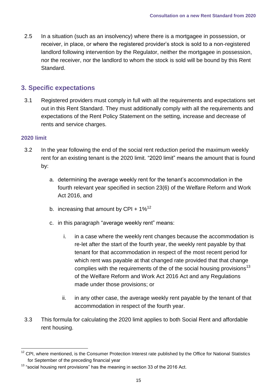2.5 In a situation (such as an insolvency) where there is a mortgagee in possession, or receiver, in place, or where the registered provider's stock is sold to a non-registered landlord following intervention by the Regulator, neither the mortgagee in possession, nor the receiver, nor the landlord to whom the stock is sold will be bound by this Rent Standard.

## <span id="page-15-0"></span>**3. Specific expectations**

3.1 Registered providers must comply in full with all the requirements and expectations set out in this Rent Standard. They must additionally comply with all the requirements and expectations of the Rent Policy Statement on the setting, increase and decrease of rents and service charges.

## **2020 limit**

- 3.2 In the year following the end of the social rent reduction period the maximum weekly rent for an existing tenant is the 2020 limit. "2020 limit" means the amount that is found by:
	- a. determining the average weekly rent for the tenant's accommodation in the fourth relevant year specified in section 23(6) of the Welfare Reform and Work Act 2016, and
	- b. increasing that amount by CPI +  $1\%^{12}$
	- c. in this paragraph "average weekly rent" means:
		- i. in a case where the weekly rent changes because the accommodation is re-let after the start of the fourth year, the weekly rent payable by that tenant for that accommodation in respect of the most recent period for which rent was payable at that changed rate provided that that change complies with the requirements of the of the social housing provisions<sup>13</sup> of the Welfare Reform and Work Act 2016 Act and any Regulations made under those provisions; or
		- ii. in any other case, the average weekly rent payable by the tenant of that accommodation in respect of the fourth year.
- 3.3 This formula for calculating the 2020 limit applies to both Social Rent and affordable rent housing.

<sup>1</sup> <sup>12</sup> CPI, where mentioned, is the Consumer Protection Interest rate published by the Office for National Statistics for September of the preceding financial year

 $13$  "social housing rent provisions" has the meaning in section 33 of the 2016 Act.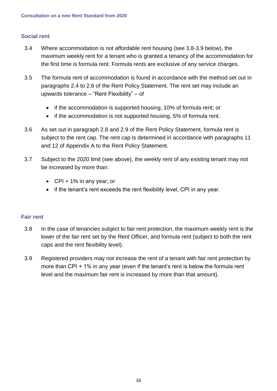## **Social rent**

- 3.4 Where accommodation is not affordable rent housing (see 3.8-3.9 below), the maximum weekly rent for a tenant who is granted a tenancy of the accommodation for the first time is formula rent. Formula rents are exclusive of any service charges.
- 3.5 The formula rent of accommodation is found in accordance with the method set out in paragraphs 2.4 to 2.6 of the Rent Policy Statement. The rent set may include an upwards tolerance – "Rent Flexibility" – of
	- if the accommodation is supported housing, 10% of formula rent; or
	- if the accommodation is not supported housing, 5% of formula rent.
- 3.6 As set out in paragraph 2.8 and 2.9 of the Rent Policy Statement, formula rent is subject to the rent cap. The rent cap is determined in accordance with paragraphs 11 and 12 of Appendix A to the Rent Policy Statement.
- 3.7 Subject to the 2020 limit (see above), the weekly rent of any existing tenant may not be increased by more than:
	- $\bullet$  CPI + 1% in any year; or
	- if the tenant's rent exceeds the rent flexibility level, CPI in any year.

## **Fair rent**

- 3.8 In the case of tenancies subject to fair rent protection, the maximum weekly rent is the lower of the fair rent set by the Rent Officer, and formula rent (subject to both the rent caps and the rent flexibility level).
- 3.9 Registered providers may not increase the rent of a tenant with fair rent protection by more than CPI + 1% in any year (even if the tenant's rent is below the formula rent level and the maximum fair rent is increased by more than that amount).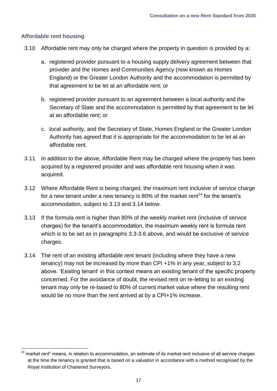## **Affordable rent housing**

- 3.10 Affordable rent may only be charged where the property in question is provided by a:
	- a. registered provider pursuant to a housing supply delivery agreement between that provider and the Homes and Communities Agency (now known as Homes England) or the Greater London Authority and the accommodation is permitted by that agreement to be let at an affordable rent; or
	- b. registered provider pursuant to an agreement between a local authority and the Secretary of State and the accommodation is permitted by that agreement to be let at an affordable rent; or
	- c. local authority, and the Secretary of State, Homes England or the Greater London Authority has agreed that it is appropriate for the accommodation to be let at an affordable rent.
- 3.11 In addition to the above, Affordable Rent may be charged where the property has been acquired by a registered provider and was affordable rent housing when it was acquired.
- 3.12 Where Affordable Rent is being charged, the maximum rent inclusive of service charge for a new tenant under a new tenancy is 80% of the market rent<sup>14</sup> for the tenant's accommodation, subject to 3.13 and 3.14 below.
- 3.13 If the formula rent is higher than 80% of the weekly market rent (inclusive of service charges) for the tenant's accommodation, the maximum weekly rent is formula rent which is to be set as in paragraphs 3.3-3.6 above, and would be exclusive of service charges.
- 3.14 The rent of an existing affordable rent tenant (including where they have a new tenancy) may not be increased by more than CPI +1% in any year, subject to 3.2 above. 'Existing tenant' in this context means an existing tenant of the specific property concerned. For the avoidance of doubt, the revised rent on re-letting to an existing tenant may only be re-based to 80% of current market value where the resulting rent would be no more than the rent arrived at by a CPI+1% increase.

<sup>1</sup> market rent" means, in relation to accommodation, an estimate of its market rent inclusive of all service charges at the time the tenancy is granted that is based on a valuation in accordance with a method recognised by the Royal Institution of Chartered Surveyors.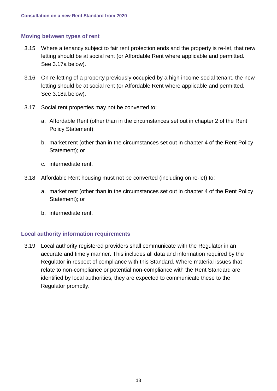## **Moving between types of rent**

- 3.15 Where a tenancy subject to fair rent protection ends and the property is re-let, that new letting should be at social rent (or Affordable Rent where applicable and permitted. See 3.17a below).
- 3.16 On re-letting of a property previously occupied by a high income social tenant, the new letting should be at social rent (or Affordable Rent where applicable and permitted. See 3.18a below).
- 3.17 Social rent properties may not be converted to:
	- a. Affordable Rent (other than in the circumstances set out in chapter 2 of the Rent Policy Statement);
	- b. market rent (other than in the circumstances set out in chapter 4 of the Rent Policy Statement); or
	- c. intermediate rent.
- 3.18 Affordable Rent housing must not be converted (including on re-let) to:
	- a. market rent (other than in the circumstances set out in chapter 4 of the Rent Policy Statement); or
	- b. intermediate rent.

## **Local authority information requirements**

3.19 Local authority registered providers shall communicate with the Regulator in an accurate and timely manner. This includes all data and information required by the Regulator in respect of compliance with this Standard. Where material issues that relate to non-compliance or potential non-compliance with the Rent Standard are identified by local authorities, they are expected to communicate these to the Regulator promptly.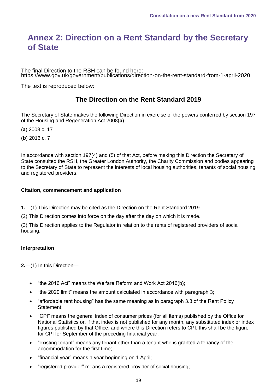## <span id="page-19-0"></span>**Annex 2: Direction on a Rent Standard by the Secretary of State**

The final Direction to the RSH can be found here: <https://www.gov.uk/government/publications/direction-on-the-rent-standard-from-1-april-2020>

The text is reproduced below:

## **The Direction on the Rent Standard 2019**

The Secretary of State makes the following Direction in exercise of the powers conferred by section 197 of the Housing and Regeneration Act 2008(**a**).

- (**a**) 2008 c. 17
- (**b**) 2016 c. 7

In accordance with section 197(4) and (5) of that Act, before making this Direction the Secretary of State consulted the RSH, the Greater London Authority, the Charity Commission and bodies appearing to the Secretary of State to represent the interests of local housing authorities, tenants of social housing and registered providers.

### **Citation, commencement and application**

**1.**—(1) This Direction may be cited as the Direction on the Rent Standard 2019.

(2) This Direction comes into force on the day after the day on which it is made.

(3) This Direction applies to the Regulator in relation to the rents of registered providers of social housing.

### **Interpretation**

**2.**—(1) In this Direction—

- "the 2016 Act" means the Welfare Reform and Work Act 2016(b);
- "the 2020 limit" means the amount calculated in accordance with paragraph 3;
- "affordable rent housing" has the same meaning as in paragraph 3.3 of the Rent Policy Statement;
- "CPI" means the general index of consumer prices (for all items) published by the Office for National Statistics or, if that index is not published for any month, any substituted index or index figures published by that Office; and where this Direction refers to CPI, this shall be the figure for CPI for September of the preceding financial year;
- "existing tenant" means any tenant other than a tenant who is granted a tenancy of the accommodation for the first time;
- "financial year" means a year beginning on 1 April;
- "registered provider" means a registered provider of social housing;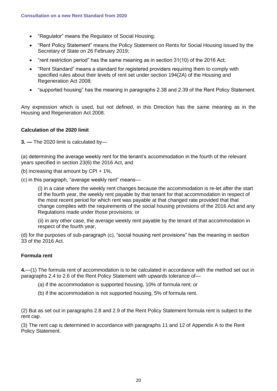- "Regulator" means the Regulator of Social Housing;
- "Rent Policy Statement" means the Policy Statement on Rents for Social Housing issued by the Secretary of State on 26 February 2019;
- "rent restriction period" has the same meaning as in section 31(10) of the 2016 Act;
- "Rent Standard" means a standard for registered providers requiring them to comply with specified rules about their levels of rent set under section 194(2A) of the Housing and Regeneration Act 2008;
- "supported housing" has the meaning in paragraphs 2.38 and 2.39 of the Rent Policy Statement.

Any expression which is used, but not defined, in this Direction has the same meaning as in the Housing and Regeneration Act 2008.

### **Calculation of the 2020 limit**

**3. —** The 2020 limit is calculated by—

(a) determining the average weekly rent for the tenant's accommodation in the fourth of the relevant years specified in section 23(6) the 2016 Act, and

(b) increasing that amount by CPI + 1%,

(c) in this paragraph, "average weekly rent" means—

(i) in a case where the weekly rent changes because the accommodation is re-let after the start of the fourth year, the weekly rent payable by that tenant for that accommodation in respect of the most recent period for which rent was payable at that changed rate provided that that change complies with the requirements of the social housing provisions of the 2016 Act and any Regulations made under those provisions; or

(ii) in any other case, the average weekly rent payable by the tenant of that accommodation in respect of the fourth year,

(d) for the purposes of sub-paragraph (c), "social housing rent provisions" has the meaning in section 33 of the 2016 Act.

### **Formula rent**

**4.**—(1) The formula rent of accommodation is to be calculated in accordance with the method set out in paragraphs 2.4 to 2.6 of the Rent Policy Statement with upwards tolerance of—

- (a) if the accommodation is supported housing, 10% of formula rent; or
- (b) if the accommodation is not supported housing, 5% of formula rent.

(2) But as set out in paragraphs 2.8 and 2.9 of the Rent Policy Statement formula rent is subject to the rent cap.

(3) The rent cap is determined in accordance with paragraphs 11 and 12 of Appendix A to the Rent Policy Statement.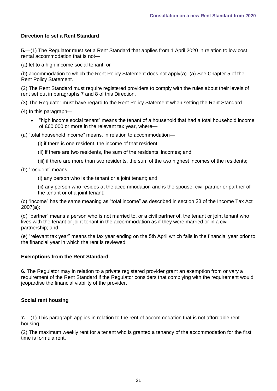## **Direction to set a Rent Standard**

**5.**—(1) The Regulator must set a Rent Standard that applies from 1 April 2020 in relation to low cost rental accommodation that is not—

(a) let to a high income social tenant; or

(b) accommodation to which the Rent Policy Statement does not apply(**a**). (**a**) See Chapter 5 of the Rent Policy Statement.

(2) The Rent Standard must require registered providers to comply with the rules about their levels of rent set out in paragraphs 7 and 8 of this Direction.

(3) The Regulator must have regard to the Rent Policy Statement when setting the Rent Standard.

(4) In this paragraph—

 "high income social tenant" means the tenant of a household that had a total household income of £60,000 or more in the relevant tax year, where—

(a) "total household income" means, in relation to accommodation—

(i) if there is one resident, the income of that resident;

(ii) if there are two residents, the sum of the residents' incomes; and

(iii) if there are more than two residents, the sum of the two highest incomes of the residents;

(b) "resident" means—

(i) any person who is the tenant or a joint tenant; and

(ii) any person who resides at the accommodation and is the spouse, civil partner or partner of the tenant or of a joint tenant;

(c) "income" has the same meaning as "total income" as described in section 23 of the Income Tax Act 2007(**a**);

(d) "partner" means a person who is not married to, or a civil partner of, the tenant or joint tenant who lives with the tenant or joint tenant in the accommodation as if they were married or in a civil partnership; and

(e) "relevant tax year" means the tax year ending on the 5th April which falls in the financial year prior to the financial year in which the rent is reviewed.

#### **Exemptions from the Rent Standard**

**6.** The Regulator may in relation to a private registered provider grant an exemption from or vary a requirement of the Rent Standard if the Regulator considers that complying with the requirement would jeopardise the financial viability of the provider.

### **Social rent housing**

**7.**—(1) This paragraph applies in relation to the rent of accommodation that is not affordable rent housing.

(2) The maximum weekly rent for a tenant who is granted a tenancy of the accommodation for the first time is formula rent.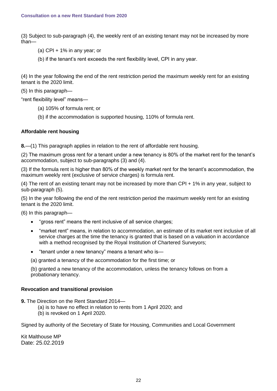(3) Subject to sub-paragraph (4), the weekly rent of an existing tenant may not be increased by more than—

- (a) CPI + 1% in any year; or
- (b) if the tenant's rent exceeds the rent flexibility level, CPI in any year.

(4) In the year following the end of the rent restriction period the maximum weekly rent for an existing tenant is the 2020 limit.

(5) In this paragraph—

"rent flexibility level" means—

- (a) 105% of formula rent; or
- (b) if the accommodation is supported housing, 110% of formula rent.

## **Affordable rent housing**

**8.**—(1) This paragraph applies in relation to the rent of affordable rent housing.

(2) The maximum gross rent for a tenant under a new tenancy is 80% of the market rent for the tenant's accommodation, subject to sub-paragraphs (3) and (4).

(3) If the formula rent is higher than 80% of the weekly market rent for the tenant's accommodation, the maximum weekly rent (exclusive of service charges) is formula rent.

(4) The rent of an existing tenant may not be increased by more than CPI + 1% in any year, subject to sub-paragraph (5).

(5) In the year following the end of the rent restriction period the maximum weekly rent for an existing tenant is the 2020 limit.

(6) In this paragraph—

- "gross rent" means the rent inclusive of all service charges;
- "market rent" means, in relation to accommodation, an estimate of its market rent inclusive of all service charges at the time the tenancy is granted that is based on a valuation in accordance with a method recognised by the Royal Institution of Chartered Surveyors;
- "tenant under a new tenancy" means a tenant who is—
- (a) granted a tenancy of the accommodation for the first time; or

(b) granted a new tenancy of the accommodation, unless the tenancy follows on from a probationary tenancy.

### **Revocation and transitional provision**

**9.** The Direction on the Rent Standard 2014—

- (a) is to have no effect in relation to rents from 1 April 2020; and
	- (b) is revoked on 1 April 2020.

Signed by authority of the Secretary of State for Housing, Communities and Local Government

Kit Malthouse MP Date: 25.02.2019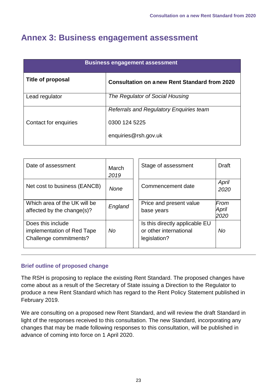## <span id="page-23-0"></span>**Annex 3: Business engagement assessment**

| <b>Business engagement assessment</b> |                                                     |  |  |  |  |
|---------------------------------------|-----------------------------------------------------|--|--|--|--|
| Title of proposal                     | <b>Consultation on anew Rent Standard from 2020</b> |  |  |  |  |
| Lead regulator                        | The Regulator of Social Housing                     |  |  |  |  |
|                                       | <b>Referrals and Regulatory Enquiries team</b>      |  |  |  |  |
| Contact for enquiries                 | 0300 124 5225                                       |  |  |  |  |
|                                       | enquiries@rsh.gov.uk                                |  |  |  |  |

| Date of assessment                                                        | March<br>2019 | Stage of assessment                                                      | <b>Draft</b>          |
|---------------------------------------------------------------------------|---------------|--------------------------------------------------------------------------|-----------------------|
| Net cost to business (EANCB)                                              | None          | Commencement date                                                        | April<br>2020         |
| Which area of the UK will be<br>affected by the change(s)?                | England       | Price and present value<br>base years                                    | From<br>April<br>2020 |
| Does this include<br>implementation of Red Tape<br>Challenge commitments? | <b>No</b>     | Is this directly applicable EU<br>or other international<br>legislation? | No                    |

## **Brief outline of proposed change**

The RSH is proposing to replace the existing Rent Standard. The proposed changes have come about as a result of the Secretary of State issuing a Direction to the Regulator to produce a new Rent Standard which has regard to the Rent Policy Statement published in February 2019.

We are consulting on a proposed new Rent Standard, and will review the draft Standard in light of the responses received to this consultation. The new Standard, incorporating any changes that may be made following responses to this consultation, will be published in advance of coming into force on 1 April 2020.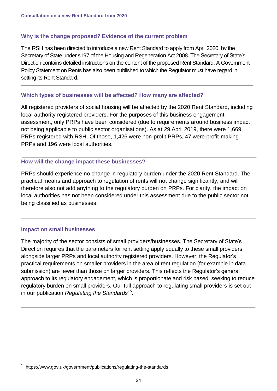## **Why is the change proposed? Evidence of the current problem**

The RSH has been directed to introduce a new Rent Standard to apply from April 2020, by the Secretary of State under s197 of the Housing and Regeneration Act 2008. The Secretary of State's Direction contains detailed instructions on the content of the proposed Rent Standard. A Government Policy Statement on Rents has also been published to which the Regulator must have regard in setting its Rent Standard.

## **Which types of businesses will be affected? How many are affected?**

All registered providers of social housing will be affected by the 2020 Rent Standard, including local authority registered providers. For the purposes of this business engagement assessment, only PRPs have been considered (due to requirements around business impact not being applicable to public sector organisations). As at 29 April 2019, there were 1,669 PRPs registered with RSH. Of those, 1,426 were non-profit PRPs, 47 were profit-making PRPs and 196 were local authorities.

## **How will the change impact these businesses?**

PRPs should experience no change in regulatory burden under the 2020 Rent Standard. The practical means and approach to regulation of rents will not change significantly, and will therefore also not add anything to the regulatory burden on PRPs. For clarity, the impact on local authorities has not been considered under this assessment due to the public sector not being classified as businesses.

## **Impact on small businesses**

The majority of the sector consists of small providers/businesses. The Secretary of State's Direction requires that the parameters for rent setting apply equally to these small providers alongside larger PRPs and local authority registered providers. However, the Regulator's practical requirements on smaller providers in the area of rent regulation (for example in data submission) are fewer than those on larger providers. This reflects the Regulator's general approach to its regulatory engagement, which is proportionate and risk based, seeking to reduce regulatory burden on small providers. Our full approach to regulating small providers is set out in our publication *Regulating [the Standards](https://www.gov.uk/government/publications/regulating-the-standards)<sup>15</sup>* .

<sup>1</sup> <sup>15</sup> https://www.gov.uk/government/publications/regulating-the-standards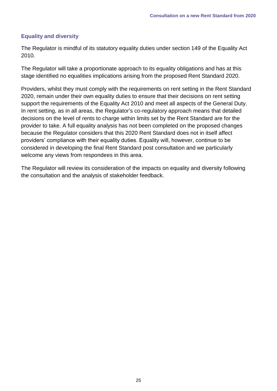## **Equality and diversity**

The Regulator is mindful of its statutory equality duties under section 149 of the Equality Act 2010.

The Regulator will take a proportionate approach to its equality obligations and has at this stage identified no equalities implications arising from the proposed Rent Standard 2020.

Providers, whilst they must comply with the requirements on rent setting in the Rent Standard 2020, remain under their own equality duties to ensure that their decisions on rent setting support the requirements of the Equality Act 2010 and meet all aspects of the General Duty. In rent setting, as in all areas, the Regulator's co-regulatory approach means that detailed decisions on the level of rents to charge within limits set by the Rent Standard are for the provider to take. A full equality analysis has not been completed on the proposed changes because the Regulator considers that this 2020 Rent Standard does not in itself affect providers' compliance with their equality duties. Equality will, however, continue to be considered in developing the final Rent Standard post consultation and we particularly welcome any views from respondees in this area.

The Regulator will review its consideration of the impacts on equality and diversity following the consultation and the analysis of stakeholder feedback.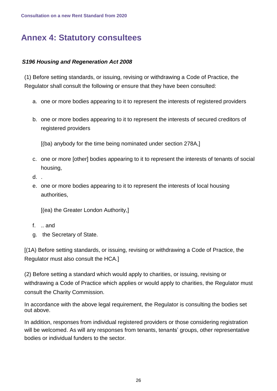# <span id="page-26-0"></span>**Annex 4: Statutory consultees**

## *S196 Housing and Regeneration Act 2008*

(1) Before setting standards, or issuing, revising or withdrawing a Code of Practice, the Regulator shall consult the following or ensure that they have been consulted:

- a. one or more bodies appearing to it to represent the interests of registered providers
- b. one or more bodies appearing to it to represent the interests of secured creditors of registered providers

[(ba) anybody for the time being nominated under section 278A,]

- c. one or more [other] bodies appearing to it to represent the interests of tenants of social housing,
- d. .
- e. one or more bodies appearing to it to represent the interests of local housing authorities,

[(ea) the Greater London Authority,]

- f. .. and
- g. the Secretary of State.

[(1A) Before setting standards, or issuing, revising or withdrawing a Code of Practice, the Regulator must also consult the HCA.]

(2) Before setting a standard which would apply to charities, or issuing, revising or withdrawing a Code of Practice which applies or would apply to charities, the Regulator must consult the Charity Commission.

In accordance with the above legal requirement, the Regulator is consulting the bodies set out above.

In addition, responses from individual registered providers or those considering registration will be welcomed. As will any responses from tenants, tenants' groups, other representative bodies or individual funders to the sector.